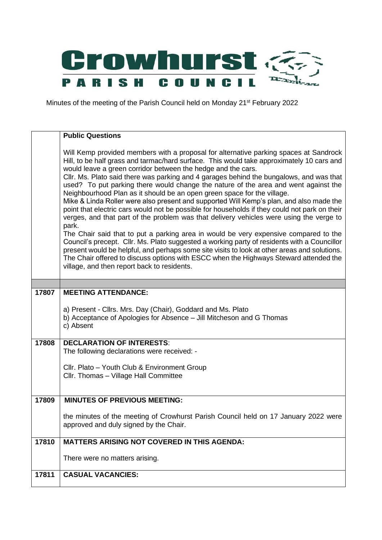

Minutes of the meeting of the Parish Council held on Monday 21<sup>st</sup> February 2022

|       | <b>Public Questions</b>                                                                                                                                                                                                                                                                                                                                                                                                                                                                                                                                                                                                                                                                                                                                                                                                                                                                                                                                                                                                                                                                                                                                                                                                                        |
|-------|------------------------------------------------------------------------------------------------------------------------------------------------------------------------------------------------------------------------------------------------------------------------------------------------------------------------------------------------------------------------------------------------------------------------------------------------------------------------------------------------------------------------------------------------------------------------------------------------------------------------------------------------------------------------------------------------------------------------------------------------------------------------------------------------------------------------------------------------------------------------------------------------------------------------------------------------------------------------------------------------------------------------------------------------------------------------------------------------------------------------------------------------------------------------------------------------------------------------------------------------|
|       | Will Kemp provided members with a proposal for alternative parking spaces at Sandrock<br>Hill, to be half grass and tarmac/hard surface. This would take approximately 10 cars and<br>would leave a green corridor between the hedge and the cars.<br>Cllr. Ms. Plato said there was parking and 4 garages behind the bungalows, and was that<br>used? To put parking there would change the nature of the area and went against the<br>Neighbourhood Plan as it should be an open green space for the village.<br>Mike & Linda Roller were also present and supported Will Kemp's plan, and also made the<br>point that electric cars would not be possible for households if they could not park on their<br>verges, and that part of the problem was that delivery vehicles were using the verge to<br>park.<br>The Chair said that to put a parking area in would be very expensive compared to the<br>Council's precept. Cllr. Ms. Plato suggested a working party of residents with a Councillor<br>present would be helpful, and perhaps some site visits to look at other areas and solutions.<br>The Chair offered to discuss options with ESCC when the Highways Steward attended the<br>village, and then report back to residents. |
|       |                                                                                                                                                                                                                                                                                                                                                                                                                                                                                                                                                                                                                                                                                                                                                                                                                                                                                                                                                                                                                                                                                                                                                                                                                                                |
| 17807 | <b>MEETING ATTENDANCE:</b>                                                                                                                                                                                                                                                                                                                                                                                                                                                                                                                                                                                                                                                                                                                                                                                                                                                                                                                                                                                                                                                                                                                                                                                                                     |
|       | a) Present - Cllrs. Mrs. Day (Chair), Goddard and Ms. Plato<br>b) Acceptance of Apologies for Absence - Jill Mitcheson and G Thomas<br>c) Absent                                                                                                                                                                                                                                                                                                                                                                                                                                                                                                                                                                                                                                                                                                                                                                                                                                                                                                                                                                                                                                                                                               |
| 17808 | <b>DECLARATION OF INTERESTS:</b><br>The following declarations were received: -                                                                                                                                                                                                                                                                                                                                                                                                                                                                                                                                                                                                                                                                                                                                                                                                                                                                                                                                                                                                                                                                                                                                                                |
|       |                                                                                                                                                                                                                                                                                                                                                                                                                                                                                                                                                                                                                                                                                                                                                                                                                                                                                                                                                                                                                                                                                                                                                                                                                                                |
|       | Cllr. Plato - Youth Club & Environment Group<br>Cllr. Thomas - Village Hall Committee                                                                                                                                                                                                                                                                                                                                                                                                                                                                                                                                                                                                                                                                                                                                                                                                                                                                                                                                                                                                                                                                                                                                                          |
| 17809 | <b>MINUTES OF PREVIOUS MEETING:</b>                                                                                                                                                                                                                                                                                                                                                                                                                                                                                                                                                                                                                                                                                                                                                                                                                                                                                                                                                                                                                                                                                                                                                                                                            |
|       | the minutes of the meeting of Crowhurst Parish Council held on 17 January 2022 were<br>approved and duly signed by the Chair.                                                                                                                                                                                                                                                                                                                                                                                                                                                                                                                                                                                                                                                                                                                                                                                                                                                                                                                                                                                                                                                                                                                  |
| 17810 | <b>MATTERS ARISING NOT COVERED IN THIS AGENDA:</b>                                                                                                                                                                                                                                                                                                                                                                                                                                                                                                                                                                                                                                                                                                                                                                                                                                                                                                                                                                                                                                                                                                                                                                                             |
|       | There were no matters arising.                                                                                                                                                                                                                                                                                                                                                                                                                                                                                                                                                                                                                                                                                                                                                                                                                                                                                                                                                                                                                                                                                                                                                                                                                 |
| 17811 | <b>CASUAL VACANCIES:</b>                                                                                                                                                                                                                                                                                                                                                                                                                                                                                                                                                                                                                                                                                                                                                                                                                                                                                                                                                                                                                                                                                                                                                                                                                       |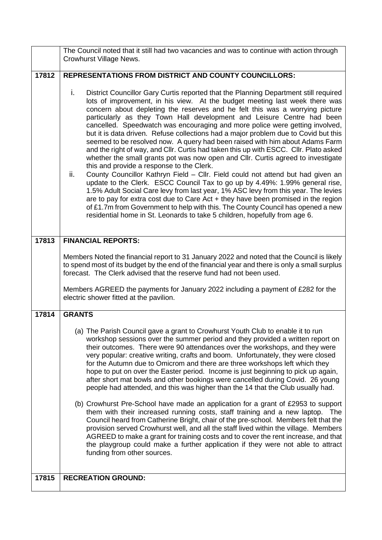|       | The Council noted that it still had two vacancies and was to continue with action through                                                                                                                                                                                                                                                                                                                                                                                                                                                                                                                                                                                                                                                                                                                                                                                                                                                                                                                                                                                                                                                                                                                                                                                                                                                    |  |  |  |
|-------|----------------------------------------------------------------------------------------------------------------------------------------------------------------------------------------------------------------------------------------------------------------------------------------------------------------------------------------------------------------------------------------------------------------------------------------------------------------------------------------------------------------------------------------------------------------------------------------------------------------------------------------------------------------------------------------------------------------------------------------------------------------------------------------------------------------------------------------------------------------------------------------------------------------------------------------------------------------------------------------------------------------------------------------------------------------------------------------------------------------------------------------------------------------------------------------------------------------------------------------------------------------------------------------------------------------------------------------------|--|--|--|
|       | Crowhurst Village News.                                                                                                                                                                                                                                                                                                                                                                                                                                                                                                                                                                                                                                                                                                                                                                                                                                                                                                                                                                                                                                                                                                                                                                                                                                                                                                                      |  |  |  |
| 17812 | <b>REPRESENTATIONS FROM DISTRICT AND COUNTY COUNCILLORS:</b>                                                                                                                                                                                                                                                                                                                                                                                                                                                                                                                                                                                                                                                                                                                                                                                                                                                                                                                                                                                                                                                                                                                                                                                                                                                                                 |  |  |  |
|       | i.<br>District Councillor Gary Curtis reported that the Planning Department still required<br>lots of improvement, in his view. At the budget meeting last week there was<br>concern about depleting the reserves and he felt this was a worrying picture<br>particularly as they Town Hall development and Leisure Centre had been<br>cancelled. Speedwatch was encouraging and more police were getting involved,<br>but it is data driven. Refuse collections had a major problem due to Covid but this<br>seemed to be resolved now. A query had been raised with him about Adams Farm<br>and the right of way, and Cllr. Curtis had taken this up with ESCC. Cllr. Plato asked<br>whether the small grants pot was now open and Cllr. Curtis agreed to investigate<br>this and provide a response to the Clerk.<br>ii.<br>County Councillor Kathryn Field - Cllr. Field could not attend but had given an<br>update to the Clerk. ESCC Council Tax to go up by 4.49%: 1.99% general rise,<br>1.5% Adult Social Care levy from last year, 1% ASC levy from this year. The levies<br>are to pay for extra cost due to Care $Act + they$ have been promised in the region<br>of £1.7m from Government to help with this. The County Council has opened a new<br>residential home in St. Leonards to take 5 children, hopefully from age 6. |  |  |  |
| 17813 | <b>FINANCIAL REPORTS:</b>                                                                                                                                                                                                                                                                                                                                                                                                                                                                                                                                                                                                                                                                                                                                                                                                                                                                                                                                                                                                                                                                                                                                                                                                                                                                                                                    |  |  |  |
|       | Members Noted the financial report to 31 January 2022 and noted that the Council is likely<br>to spend most of its budget by the end of the financial year and there is only a small surplus<br>forecast. The Clerk advised that the reserve fund had not been used.<br>Members AGREED the payments for January 2022 including a payment of £282 for the                                                                                                                                                                                                                                                                                                                                                                                                                                                                                                                                                                                                                                                                                                                                                                                                                                                                                                                                                                                     |  |  |  |
|       | electric shower fitted at the pavilion.                                                                                                                                                                                                                                                                                                                                                                                                                                                                                                                                                                                                                                                                                                                                                                                                                                                                                                                                                                                                                                                                                                                                                                                                                                                                                                      |  |  |  |
| 17814 | <b>GRANTS</b>                                                                                                                                                                                                                                                                                                                                                                                                                                                                                                                                                                                                                                                                                                                                                                                                                                                                                                                                                                                                                                                                                                                                                                                                                                                                                                                                |  |  |  |
|       | (a) The Parish Council gave a grant to Crowhurst Youth Club to enable it to run<br>workshop sessions over the summer period and they provided a written report on<br>their outcomes. There were 90 attendances over the workshops, and they were<br>very popular: creative writing, crafts and boom. Unfortunately, they were closed<br>for the Autumn due to Omicrom and there are three workshops left which they<br>hope to put on over the Easter period. Income is just beginning to pick up again,<br>after short mat bowls and other bookings were cancelled during Covid. 26 young<br>people had attended, and this was higher than the 14 that the Club usually had.<br>(b) Crowhurst Pre-School have made an application for a grant of £2953 to support<br>them with their increased running costs, staff training and a new laptop. The<br>Council heard from Catherine Bright, chair of the pre-school. Members felt that the<br>provision served Crowhurst well, and all the staff lived within the village. Members<br>AGREED to make a grant for training costs and to cover the rent increase, and that<br>the playgroup could make a further application if they were not able to attract<br>funding from other sources.                                                                                                   |  |  |  |
|       |                                                                                                                                                                                                                                                                                                                                                                                                                                                                                                                                                                                                                                                                                                                                                                                                                                                                                                                                                                                                                                                                                                                                                                                                                                                                                                                                              |  |  |  |
| 17815 | <b>RECREATION GROUND:</b>                                                                                                                                                                                                                                                                                                                                                                                                                                                                                                                                                                                                                                                                                                                                                                                                                                                                                                                                                                                                                                                                                                                                                                                                                                                                                                                    |  |  |  |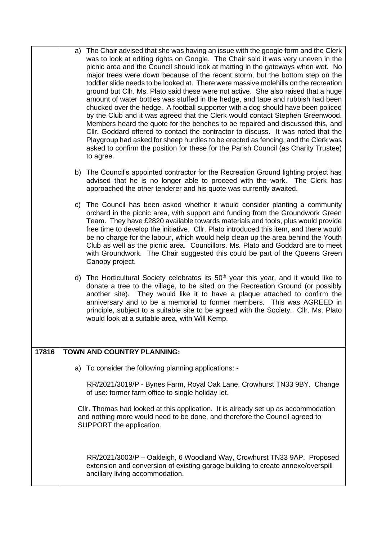|       | The Chair advised that she was having an issue with the google form and the Clerk<br>a)<br>was to look at editing rights on Google. The Chair said it was very uneven in the<br>picnic area and the Council should look at matting in the gateways when wet. No<br>major trees were down because of the recent storm, but the bottom step on the<br>toddler slide needs to be looked at. There were massive molehills on the recreation<br>ground but Cllr. Ms. Plato said these were not active. She also raised that a huge<br>amount of water bottles was stuffed in the hedge, and tape and rubbish had been<br>chucked over the hedge. A football supporter with a dog should have been policed<br>by the Club and it was agreed that the Clerk would contact Stephen Greenwood.<br>Members heard the quote for the benches to be repaired and discussed this, and<br>CIIr. Goddard offered to contact the contractor to discuss. It was noted that the<br>Playgroup had asked for sheep hurdles to be erected as fencing, and the Clerk was<br>asked to confirm the position for these for the Parish Council (as Charity Trustee)<br>to agree. |
|-------|-------------------------------------------------------------------------------------------------------------------------------------------------------------------------------------------------------------------------------------------------------------------------------------------------------------------------------------------------------------------------------------------------------------------------------------------------------------------------------------------------------------------------------------------------------------------------------------------------------------------------------------------------------------------------------------------------------------------------------------------------------------------------------------------------------------------------------------------------------------------------------------------------------------------------------------------------------------------------------------------------------------------------------------------------------------------------------------------------------------------------------------------------------|
|       | b) The Council's appointed contractor for the Recreation Ground lighting project has<br>advised that he is no longer able to proceed with the work. The Clerk has<br>approached the other tenderer and his quote was currently awaited.                                                                                                                                                                                                                                                                                                                                                                                                                                                                                                                                                                                                                                                                                                                                                                                                                                                                                                               |
|       | The Council has been asked whether it would consider planting a community<br>C)<br>orchard in the picnic area, with support and funding from the Groundwork Green<br>Team. They have £2820 available towards materials and tools, plus would provide<br>free time to develop the initiative. Cllr. Plato introduced this item, and there would<br>be no charge for the labour, which would help clean up the area behind the Youth<br>Club as well as the picnic area. Councillors. Ms. Plato and Goddard are to meet<br>with Groundwork. The Chair suggested this could be part of the Queens Green<br>Canopy project.                                                                                                                                                                                                                                                                                                                                                                                                                                                                                                                               |
|       | d) The Horticultural Society celebrates its 50 <sup>th</sup> year this year, and it would like to<br>donate a tree to the village, to be sited on the Recreation Ground (or possibly<br>another site). They would like it to have a plaque attached to confirm the<br>anniversary and to be a memorial to former members. This was AGREED in<br>principle, subject to a suitable site to be agreed with the Society. Cllr. Ms. Plato<br>would look at a suitable area, with Will Kemp.                                                                                                                                                                                                                                                                                                                                                                                                                                                                                                                                                                                                                                                                |
| 17816 | <b>TOWN AND COUNTRY PLANNING:</b>                                                                                                                                                                                                                                                                                                                                                                                                                                                                                                                                                                                                                                                                                                                                                                                                                                                                                                                                                                                                                                                                                                                     |
|       | a) To consider the following planning applications: -                                                                                                                                                                                                                                                                                                                                                                                                                                                                                                                                                                                                                                                                                                                                                                                                                                                                                                                                                                                                                                                                                                 |
|       | RR/2021/3019/P - Bynes Farm, Royal Oak Lane, Crowhurst TN33 9BY. Change<br>of use: former farm office to single holiday let.                                                                                                                                                                                                                                                                                                                                                                                                                                                                                                                                                                                                                                                                                                                                                                                                                                                                                                                                                                                                                          |
|       | CIIr. Thomas had looked at this application. It is already set up as accommodation<br>and nothing more would need to be done, and therefore the Council agreed to<br>SUPPORT the application.                                                                                                                                                                                                                                                                                                                                                                                                                                                                                                                                                                                                                                                                                                                                                                                                                                                                                                                                                         |
|       | RR/2021/3003/P - Oakleigh, 6 Woodland Way, Crowhurst TN33 9AP. Proposed<br>extension and conversion of existing garage building to create annexe/overspill<br>ancillary living accommodation.                                                                                                                                                                                                                                                                                                                                                                                                                                                                                                                                                                                                                                                                                                                                                                                                                                                                                                                                                         |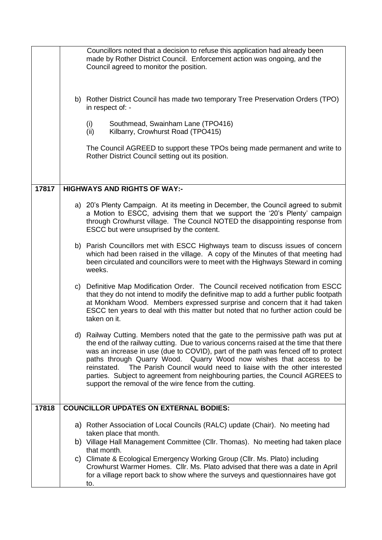|       | Councillors noted that a decision to refuse this application had already been<br>made by Rother District Council. Enforcement action was ongoing, and the<br>Council agreed to monitor the position.                                                                                                                                                                                                                                                                                                                                                                    |
|-------|-------------------------------------------------------------------------------------------------------------------------------------------------------------------------------------------------------------------------------------------------------------------------------------------------------------------------------------------------------------------------------------------------------------------------------------------------------------------------------------------------------------------------------------------------------------------------|
|       | b) Rother District Council has made two temporary Tree Preservation Orders (TPO)<br>in respect of: -                                                                                                                                                                                                                                                                                                                                                                                                                                                                    |
|       | Southmead, Swainham Lane (TPO416)<br>(i)<br>(ii)<br>Kilbarry, Crowhurst Road (TPO415)                                                                                                                                                                                                                                                                                                                                                                                                                                                                                   |
|       | The Council AGREED to support these TPOs being made permanent and write to<br>Rother District Council setting out its position.                                                                                                                                                                                                                                                                                                                                                                                                                                         |
|       |                                                                                                                                                                                                                                                                                                                                                                                                                                                                                                                                                                         |
| 17817 | <b>HIGHWAYS AND RIGHTS OF WAY:-</b>                                                                                                                                                                                                                                                                                                                                                                                                                                                                                                                                     |
|       | a) 20's Plenty Campaign. At its meeting in December, the Council agreed to submit<br>a Motion to ESCC, advising them that we support the '20's Plenty' campaign<br>through Crowhurst village. The Council NOTED the disappointing response from<br>ESCC but were unsuprised by the content.                                                                                                                                                                                                                                                                             |
|       | b) Parish Councillors met with ESCC Highways team to discuss issues of concern<br>which had been raised in the village. A copy of the Minutes of that meeting had<br>been circulated and councillors were to meet with the Highways Steward in coming<br>weeks.                                                                                                                                                                                                                                                                                                         |
|       | c) Definitive Map Modification Order. The Council received notification from ESCC<br>that they do not intend to modify the definitive map to add a further public footpath<br>at Monkham Wood. Members expressed surprise and concern that it had taken<br>ESCC ten years to deal with this matter but noted that no further action could be<br>taken on it.                                                                                                                                                                                                            |
|       | d) Railway Cutting. Members noted that the gate to the permissive path was put at<br>the end of the railway cutting. Due to various concerns raised at the time that there<br>was an increase in use (due to COVID), part of the path was fenced off to protect<br>paths through Quarry Wood. Quarry Wood now wishes that access to be<br>The Parish Council would need to liaise with the other interested<br>reinstated.<br>parties. Subject to agreement from neighbouring parties, the Council AGREES to<br>support the removal of the wire fence from the cutting. |
| 17818 | <b>COUNCILLOR UPDATES ON EXTERNAL BODIES:</b>                                                                                                                                                                                                                                                                                                                                                                                                                                                                                                                           |
|       | a) Rother Association of Local Councils (RALC) update (Chair). No meeting had<br>taken place that month.                                                                                                                                                                                                                                                                                                                                                                                                                                                                |
|       | b) Village Hall Management Committee (Cllr. Thomas). No meeting had taken place<br>that month.                                                                                                                                                                                                                                                                                                                                                                                                                                                                          |
|       | c) Climate & Ecological Emergency Working Group (Cllr. Ms. Plato) including<br>Crowhurst Warmer Homes. Cllr. Ms. Plato advised that there was a date in April<br>for a village report back to show where the surveys and questionnaires have got<br>to.                                                                                                                                                                                                                                                                                                                 |